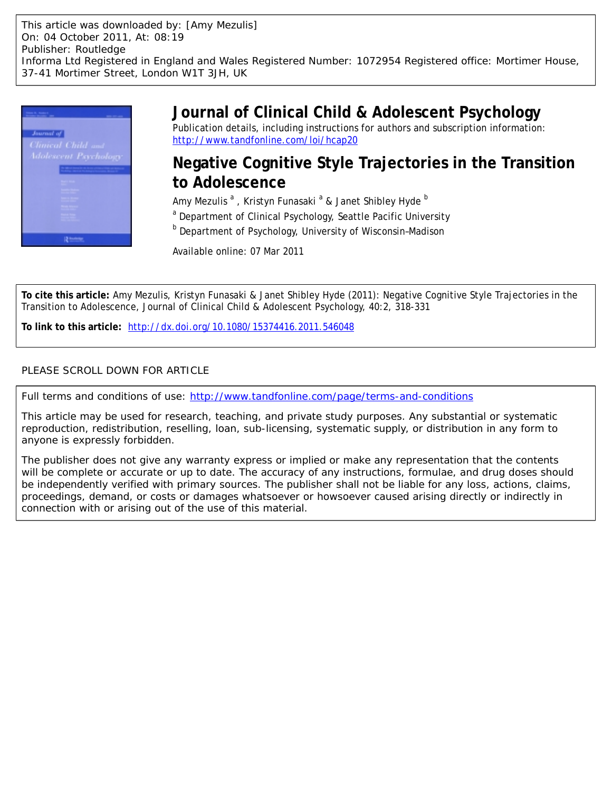This article was downloaded by: [Amy Mezulis] On: 04 October 2011, At: 08:19 Publisher: Routledge Informa Ltd Registered in England and Wales Registered Number: 1072954 Registered office: Mortimer House, 37-41 Mortimer Street, London W1T 3JH, UK



# **Journal of Clinical Child & Adolescent Psychology**

Publication details, including instructions for authors and subscription information: <http://www.tandfonline.com/loi/hcap20>

## **Negative Cognitive Style Trajectories in the Transition to Adolescence**

Amy Mezulis <sup>a</sup> , Kristyn Funasaki <sup>a</sup> & Janet Shibley Hyde <sup>b</sup>

<sup>a</sup> Department of Clinical Psychology, Seattle Pacific University

**b** Department of Psychology, University of Wisconsin-Madison

Available online: 07 Mar 2011

**To cite this article:** Amy Mezulis, Kristyn Funasaki & Janet Shibley Hyde (2011): Negative Cognitive Style Trajectories in the Transition to Adolescence, Journal of Clinical Child & Adolescent Psychology, 40:2, 318-331

**To link to this article:** <http://dx.doi.org/10.1080/15374416.2011.546048>

## PLEASE SCROLL DOWN FOR ARTICLE

Full terms and conditions of use:<http://www.tandfonline.com/page/terms-and-conditions>

This article may be used for research, teaching, and private study purposes. Any substantial or systematic reproduction, redistribution, reselling, loan, sub-licensing, systematic supply, or distribution in any form to anyone is expressly forbidden.

The publisher does not give any warranty express or implied or make any representation that the contents will be complete or accurate or up to date. The accuracy of any instructions, formulae, and drug doses should be independently verified with primary sources. The publisher shall not be liable for any loss, actions, claims, proceedings, demand, or costs or damages whatsoever or howsoever caused arising directly or indirectly in connection with or arising out of the use of this material.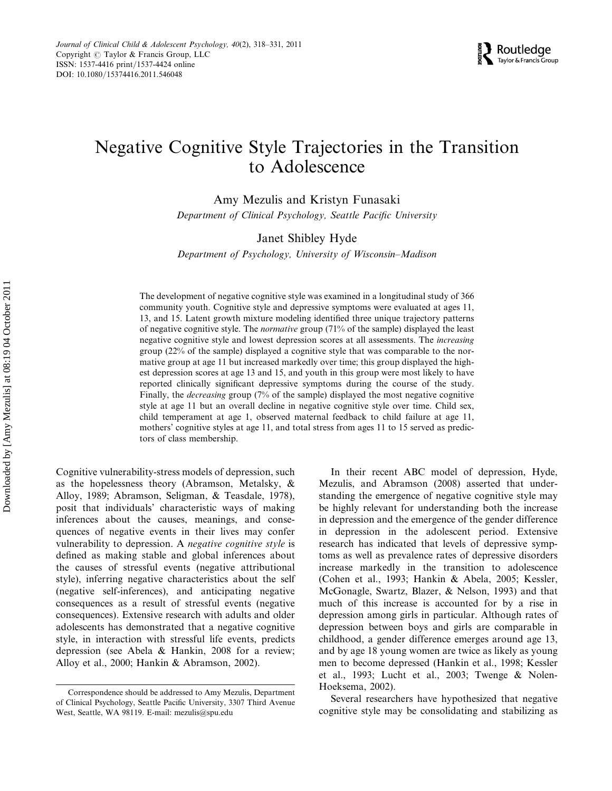## Negative Cognitive Style Trajectories in the Transition to Adolescence

Amy Mezulis and Kristyn Funasaki

Department of Clinical Psychology, Seattle Pacific University

## Janet Shibley Hyde

Department of Psychology, University of Wisconsin–Madison

The development of negative cognitive style was examined in a longitudinal study of 366 community youth. Cognitive style and depressive symptoms were evaluated at ages 11, 13, and 15. Latent growth mixture modeling identified three unique trajectory patterns of negative cognitive style. The normative group (71% of the sample) displayed the least negative cognitive style and lowest depression scores at all assessments. The increasing group (22% of the sample) displayed a cognitive style that was comparable to the normative group at age 11 but increased markedly over time; this group displayed the highest depression scores at age 13 and 15, and youth in this group were most likely to have reported clinically significant depressive symptoms during the course of the study. Finally, the decreasing group (7% of the sample) displayed the most negative cognitive style at age 11 but an overall decline in negative cognitive style over time. Child sex, child temperament at age 1, observed maternal feedback to child failure at age 11, mothers' cognitive styles at age 11, and total stress from ages 11 to 15 served as predictors of class membership.

Cognitive vulnerability-stress models of depression, such as the hopelessness theory (Abramson, Metalsky, & Alloy, 1989; Abramson, Seligman, & Teasdale, 1978), posit that individuals' characteristic ways of making inferences about the causes, meanings, and consequences of negative events in their lives may confer vulnerability to depression. A negative cognitive style is defined as making stable and global inferences about the causes of stressful events (negative attributional style), inferring negative characteristics about the self (negative self-inferences), and anticipating negative consequences as a result of stressful events (negative consequences). Extensive research with adults and older adolescents has demonstrated that a negative cognitive style, in interaction with stressful life events, predicts depression (see Abela & Hankin, 2008 for a review; Alloy et al., 2000; Hankin & Abramson, 2002).

In their recent ABC model of depression, Hyde, Mezulis, and Abramson (2008) asserted that understanding the emergence of negative cognitive style may be highly relevant for understanding both the increase in depression and the emergence of the gender difference in depression in the adolescent period. Extensive research has indicated that levels of depressive symptoms as well as prevalence rates of depressive disorders increase markedly in the transition to adolescence (Cohen et al., 1993; Hankin & Abela, 2005; Kessler, McGonagle, Swartz, Blazer, & Nelson, 1993) and that much of this increase is accounted for by a rise in depression among girls in particular. Although rates of depression between boys and girls are comparable in childhood, a gender difference emerges around age 13, and by age 18 young women are twice as likely as young men to become depressed (Hankin et al., 1998; Kessler et al., 1993; Lucht et al., 2003; Twenge & Nolen-Hoeksema, 2002).

Several researchers have hypothesized that negative cognitive style may be consolidating and stabilizing as

Correspondence should be addressed to Amy Mezulis, Department of Clinical Psychology, Seattle Pacific University, 3307 Third Avenue West, Seattle, WA 98119. E-mail: mezulis@spu.edu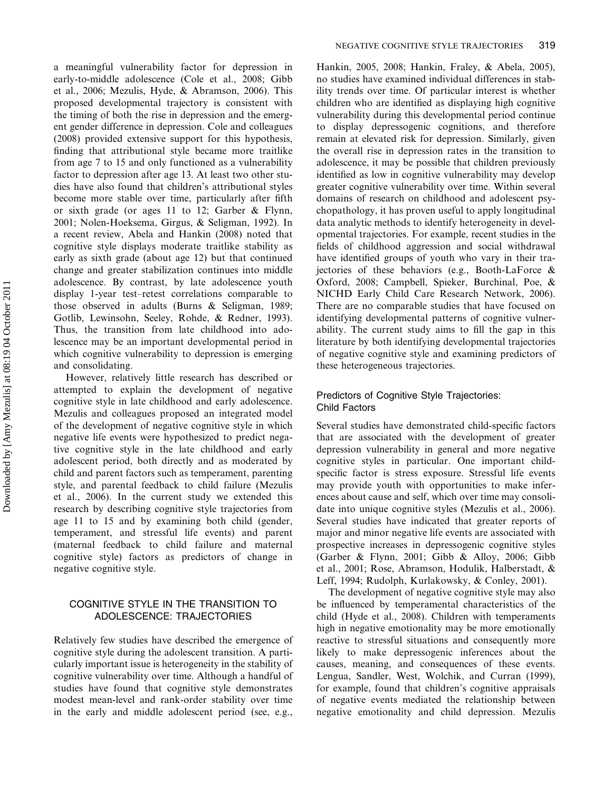a meaningful vulnerability factor for depression in early-to-middle adolescence (Cole et al., 2008; Gibb et al., 2006; Mezulis, Hyde, & Abramson, 2006). This proposed developmental trajectory is consistent with the timing of both the rise in depression and the emergent gender difference in depression. Cole and colleagues (2008) provided extensive support for this hypothesis, finding that attributional style became more traitlike from age 7 to 15 and only functioned as a vulnerability factor to depression after age 13. At least two other studies have also found that children's attributional styles become more stable over time, particularly after fifth or sixth grade (or ages 11 to 12; Garber & Flynn, 2001; Nolen-Hoeksema, Girgus, & Seligman, 1992). In a recent review, Abela and Hankin (2008) noted that cognitive style displays moderate traitlike stability as early as sixth grade (about age 12) but that continued change and greater stabilization continues into middle adolescence. By contrast, by late adolescence youth display 1-year test–retest correlations comparable to those observed in adults (Burns & Seligman, 1989; Gotlib, Lewinsohn, Seeley, Rohde, & Redner, 1993). Thus, the transition from late childhood into adolescence may be an important developmental period in which cognitive vulnerability to depression is emerging and consolidating.

However, relatively little research has described or attempted to explain the development of negative cognitive style in late childhood and early adolescence. Mezulis and colleagues proposed an integrated model of the development of negative cognitive style in which negative life events were hypothesized to predict negative cognitive style in the late childhood and early adolescent period, both directly and as moderated by child and parent factors such as temperament, parenting style, and parental feedback to child failure (Mezulis et al., 2006). In the current study we extended this research by describing cognitive style trajectories from age 11 to 15 and by examining both child (gender, temperament, and stressful life events) and parent (maternal feedback to child failure and maternal cognitive style) factors as predictors of change in negative cognitive style.

## COGNITIVE STYLE IN THE TRANSITION TO ADOLESCENCE: TRAJECTORIES

Relatively few studies have described the emergence of cognitive style during the adolescent transition. A particularly important issue is heterogeneity in the stability of cognitive vulnerability over time. Although a handful of studies have found that cognitive style demonstrates modest mean-level and rank-order stability over time in the early and middle adolescent period (see, e.g.,

Hankin, 2005, 2008; Hankin, Fraley, & Abela, 2005), no studies have examined individual differences in stability trends over time. Of particular interest is whether children who are identified as displaying high cognitive vulnerability during this developmental period continue to display depressogenic cognitions, and therefore remain at elevated risk for depression. Similarly, given the overall rise in depression rates in the transition to adolescence, it may be possible that children previously identified as low in cognitive vulnerability may develop greater cognitive vulnerability over time. Within several domains of research on childhood and adolescent psychopathology, it has proven useful to apply longitudinal data analytic methods to identify heterogeneity in developmental trajectories. For example, recent studies in the fields of childhood aggression and social withdrawal have identified groups of youth who vary in their trajectories of these behaviors (e.g., Booth-LaForce & Oxford, 2008; Campbell, Spieker, Burchinal, Poe, & NICHD Early Child Care Research Network, 2006). There are no comparable studies that have focused on identifying developmental patterns of cognitive vulnerability. The current study aims to fill the gap in this literature by both identifying developmental trajectories of negative cognitive style and examining predictors of these heterogeneous trajectories.

## Predictors of Cognitive Style Trajectories: Child Factors

Several studies have demonstrated child-specific factors that are associated with the development of greater depression vulnerability in general and more negative cognitive styles in particular. One important childspecific factor is stress exposure. Stressful life events may provide youth with opportunities to make inferences about cause and self, which over time may consolidate into unique cognitive styles (Mezulis et al., 2006). Several studies have indicated that greater reports of major and minor negative life events are associated with prospective increases in depressogenic cognitive styles (Garber & Flynn, 2001; Gibb & Alloy, 2006; Gibb et al., 2001; Rose, Abramson, Hodulik, Halberstadt, & Leff, 1994; Rudolph, Kurlakowsky, & Conley, 2001).

The development of negative cognitive style may also be influenced by temperamental characteristics of the child (Hyde et al., 2008). Children with temperaments high in negative emotionality may be more emotionally reactive to stressful situations and consequently more likely to make depressogenic inferences about the causes, meaning, and consequences of these events. Lengua, Sandler, West, Wolchik, and Curran (1999), for example, found that children's cognitive appraisals of negative events mediated the relationship between negative emotionality and child depression. Mezulis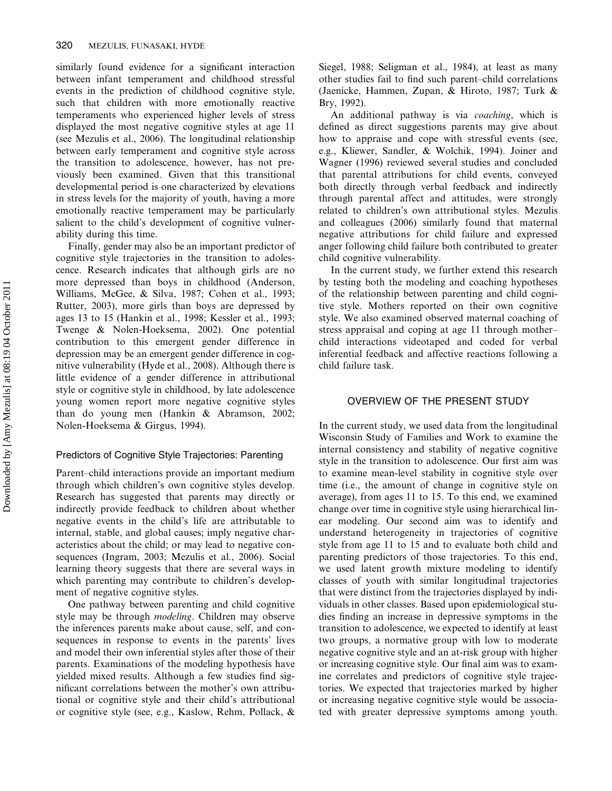similarly found evidence for a significant interaction between infant temperament and childhood stressful events in the prediction of childhood cognitive style, such that children with more emotionally reactive temperaments who experienced higher levels of stress displayed the most negative cognitive styles at age 11 (see Mezulis et al., 2006). The longitudinal relationship between early temperament and cognitive style across the transition to adolescence, however, has not previously been examined. Given that this transitional developmental period is one characterized by elevations in stress levels for the majority of youth, having a more emotionally reactive temperament may be particularly salient to the child's development of cognitive vulnerability during this time.

Finally, gender may also be an important predictor of cognitive style trajectories in the transition to adolescence. Research indicates that although girls are no more depressed than boys in childhood (Anderson, Williams, McGee, & Silva, 1987; Cohen et al., 1993; Rutter, 2003), more girls than boys are depressed by ages 13 to 15 (Hankin et al., 1998; Kessler et al., 1993; Twenge & Nolen-Hoeksema, 2002). One potential contribution to this emergent gender difference in depression may be an emergent gender difference in cognitive vulnerability (Hyde et al., 2008). Although there is little evidence of a gender difference in attributional style or cognitive style in childhood, by late adolescence young women report more negative cognitive styles than do young men (Hankin & Abramson, 2002; Nolen-Hoeksema & Girgus, 1994).

### Predictors of Cognitive Style Trajectories: Parenting

Parent–child interactions provide an important medium through which children's own cognitive styles develop. Research has suggested that parents may directly or indirectly provide feedback to children about whether negative events in the child's life are attributable to internal, stable, and global causes; imply negative characteristics about the child; or may lead to negative consequences (Ingram, 2003; Mezulis et al., 2006). Social learning theory suggests that there are several ways in which parenting may contribute to children's development of negative cognitive styles.

One pathway between parenting and child cognitive style may be through modeling. Children may observe the inferences parents make about cause, self, and consequences in response to events in the parents' lives and model their own inferential styles after those of their parents. Examinations of the modeling hypothesis have yielded mixed results. Although a few studies find significant correlations between the mother's own attributional or cognitive style and their child's attributional or cognitive style (see, e.g., Kaslow, Rehm, Pollack, & Siegel, 1988; Seligman et al., 1984), at least as many other studies fail to find such parent–child correlations (Jaenicke, Hammen, Zupan, & Hiroto, 1987; Turk & Bry, 1992).

An additional pathway is via coaching, which is defined as direct suggestions parents may give about how to appraise and cope with stressful events (see, e.g., Kliewer, Sandler, & Wolchik, 1994). Joiner and Wagner (1996) reviewed several studies and concluded that parental attributions for child events, conveyed both directly through verbal feedback and indirectly through parental affect and attitudes, were strongly related to children's own attributional styles. Mezulis and colleagues (2006) similarly found that maternal negative attributions for child failure and expressed anger following child failure both contributed to greater child cognitive vulnerability.

In the current study, we further extend this research by testing both the modeling and coaching hypotheses of the relationship between parenting and child cognitive style. Mothers reported on their own cognitive style. We also examined observed maternal coaching of stress appraisal and coping at age 11 through mother– child interactions videotaped and coded for verbal inferential feedback and affective reactions following a child failure task.

## OVERVIEW OF THE PRESENT STUDY

In the current study, we used data from the longitudinal Wisconsin Study of Families and Work to examine the internal consistency and stability of negative cognitive style in the transition to adolescence. Our first aim was to examine mean-level stability in cognitive style over time (i.e., the amount of change in cognitive style on average), from ages 11 to 15. To this end, we examined change over time in cognitive style using hierarchical linear modeling. Our second aim was to identify and understand heterogeneity in trajectories of cognitive style from age 11 to 15 and to evaluate both child and parenting predictors of those trajectories. To this end, we used latent growth mixture modeling to identify classes of youth with similar longitudinal trajectories that were distinct from the trajectories displayed by individuals in other classes. Based upon epidemiological studies finding an increase in depressive symptoms in the transition to adolescence, we expected to identify at least two groups, a normative group with low to moderate negative cognitive style and an at-risk group with higher or increasing cognitive style. Our final aim was to examine correlates and predictors of cognitive style trajectories. We expected that trajectories marked by higher or increasing negative cognitive style would be associated with greater depressive symptoms among youth.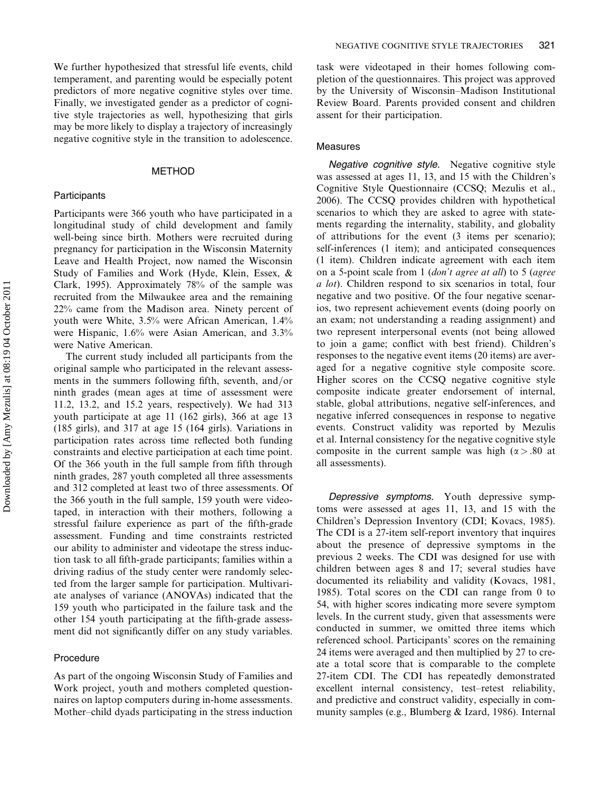We further hypothesized that stressful life events, child temperament, and parenting would be especially potent predictors of more negative cognitive styles over time. Finally, we investigated gender as a predictor of cognitive style trajectories as well, hypothesizing that girls may be more likely to display a trajectory of increasingly negative cognitive style in the transition to adolescence.

#### METHOD

#### **Participants**

Participants were 366 youth who have participated in a longitudinal study of child development and family well-being since birth. Mothers were recruited during pregnancy for participation in the Wisconsin Maternity Leave and Health Project, now named the Wisconsin Study of Families and Work (Hyde, Klein, Essex, & Clark, 1995). Approximately 78% of the sample was recruited from the Milwaukee area and the remaining 22% came from the Madison area. Ninety percent of youth were White, 3.5% were African American, 1.4% were Hispanic, 1.6% were Asian American, and 3.3% were Native American.

The current study included all participants from the original sample who participated in the relevant assessments in the summers following fifth, seventh, and/or ninth grades (mean ages at time of assessment were 11.2, 13.2, and 15.2 years, respectively). We had 313 youth participate at age 11 (162 girls), 366 at age 13 (185 girls), and 317 at age 15 (164 girls). Variations in participation rates across time reflected both funding constraints and elective participation at each time point. Of the 366 youth in the full sample from fifth through ninth grades, 287 youth completed all three assessments and 312 completed at least two of three assessments. Of the 366 youth in the full sample, 159 youth were videotaped, in interaction with their mothers, following a stressful failure experience as part of the fifth-grade assessment. Funding and time constraints restricted our ability to administer and videotape the stress induction task to all fifth-grade participants; families within a driving radius of the study center were randomly selected from the larger sample for participation. Multivariate analyses of variance (ANOVAs) indicated that the 159 youth who participated in the failure task and the other 154 youth participating at the fifth-grade assessment did not significantly differ on any study variables.

#### Procedure

As part of the ongoing Wisconsin Study of Families and Work project, youth and mothers completed questionnaires on laptop computers during in-home assessments. Mother–child dyads participating in the stress induction

task were videotaped in their homes following completion of the questionnaires. This project was approved by the University of Wisconsin–Madison Institutional Review Board. Parents provided consent and children assent for their participation.

#### Measures

Negative cognitive style. Negative cognitive style was assessed at ages 11, 13, and 15 with the Children's Cognitive Style Questionnaire (CCSQ; Mezulis et al., 2006). The CCSQ provides children with hypothetical scenarios to which they are asked to agree with statements regarding the internality, stability, and globality of attributions for the event (3 items per scenario); self-inferences (1 item); and anticipated consequences (1 item). Children indicate agreement with each item on a 5-point scale from 1 (don't agree at all) to 5 (agree a lot). Children respond to six scenarios in total, four negative and two positive. Of the four negative scenarios, two represent achievement events (doing poorly on an exam; not understanding a reading assignment) and two represent interpersonal events (not being allowed to join a game; conflict with best friend). Children's responses to the negative event items (20 items) are averaged for a negative cognitive style composite score. Higher scores on the CCSQ negative cognitive style composite indicate greater endorsement of internal, stable, global attributions, negative self-inferences, and negative inferred consequences in response to negative events. Construct validity was reported by Mezulis et al. Internal consistency for the negative cognitive style composite in the current sample was high  $(\alpha > .80$  at all assessments).

Depressive symptoms. Youth depressive symptoms were assessed at ages 11, 13, and 15 with the Children's Depression Inventory (CDI; Kovacs, 1985). The CDI is a 27-item self-report inventory that inquires about the presence of depressive symptoms in the previous 2 weeks. The CDI was designed for use with children between ages 8 and 17; several studies have documented its reliability and validity (Kovacs, 1981, 1985). Total scores on the CDI can range from 0 to 54, with higher scores indicating more severe symptom levels. In the current study, given that assessments were conducted in summer, we omitted three items which referenced school. Participants' scores on the remaining 24 items were averaged and then multiplied by 27 to create a total score that is comparable to the complete 27-item CDI. The CDI has repeatedly demonstrated excellent internal consistency, test–retest reliability, and predictive and construct validity, especially in community samples (e.g., Blumberg & Izard, 1986). Internal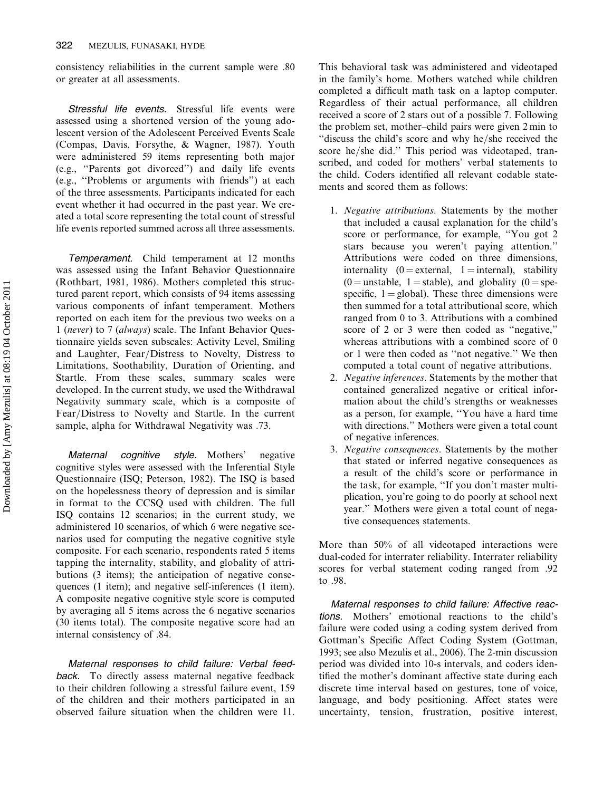consistency reliabilities in the current sample were .80 or greater at all assessments.

Stressful life events. Stressful life events were assessed using a shortened version of the young adolescent version of the Adolescent Perceived Events Scale (Compas, Davis, Forsythe, & Wagner, 1987). Youth were administered 59 items representing both major (e.g., ''Parents got divorced'') and daily life events (e.g., ''Problems or arguments with friends'') at each of the three assessments. Participants indicated for each event whether it had occurred in the past year. We created a total score representing the total count of stressful life events reported summed across all three assessments.

Temperament. Child temperament at 12 months was assessed using the Infant Behavior Questionnaire (Rothbart, 1981, 1986). Mothers completed this structured parent report, which consists of 94 items assessing various components of infant temperament. Mothers reported on each item for the previous two weeks on a 1 (never) to 7 (always) scale. The Infant Behavior Questionnaire yields seven subscales: Activity Level, Smiling and Laughter, Fear/Distress to Novelty, Distress to Limitations, Soothability, Duration of Orienting, and Startle. From these scales, summary scales were developed. In the current study, we used the Withdrawal Negativity summary scale, which is a composite of Fear/Distress to Novelty and Startle. In the current sample, alpha for Withdrawal Negativity was .73.

Maternal cognitive style. Mothers' negative cognitive styles were assessed with the Inferential Style Questionnaire (ISQ; Peterson, 1982). The ISQ is based on the hopelessness theory of depression and is similar in format to the CCSQ used with children. The full ISQ contains 12 scenarios; in the current study, we administered 10 scenarios, of which 6 were negative scenarios used for computing the negative cognitive style composite. For each scenario, respondents rated 5 items tapping the internality, stability, and globality of attributions (3 items); the anticipation of negative consequences (1 item); and negative self-inferences (1 item). A composite negative cognitive style score is computed by averaging all 5 items across the 6 negative scenarios (30 items total). The composite negative score had an internal consistency of .84.

Maternal responses to child failure: Verbal feedback. To directly assess maternal negative feedback to their children following a stressful failure event, 159 of the children and their mothers participated in an observed failure situation when the children were 11.

This behavioral task was administered and videotaped in the family's home. Mothers watched while children completed a difficult math task on a laptop computer. Regardless of their actual performance, all children received a score of 2 stars out of a possible 7. Following the problem set, mother–child pairs were given 2 min to "discuss the child's score and why he/she received the score he/she did." This period was videotaped, transcribed, and coded for mothers' verbal statements to the child. Coders identified all relevant codable statements and scored them as follows:

- 1. Negative attributions. Statements by the mother that included a causal explanation for the child's score or performance, for example, ''You got 2 stars because you weren't paying attention.'' Attributions were coded on three dimensions, internality  $(0 =$  external, 1 = internal), stability  $(0 = \text{unstable}, 1 = \text{stable})$ , and globality  $(0 = \text{spe}$ specific,  $1 = \text{global}$ ). These three dimensions were then summed for a total attributional score, which ranged from 0 to 3. Attributions with a combined score of 2 or 3 were then coded as ''negative,'' whereas attributions with a combined score of 0 or 1 were then coded as ''not negative.'' We then computed a total count of negative attributions.
- 2. Negative inferences. Statements by the mother that contained generalized negative or critical information about the child's strengths or weaknesses as a person, for example, ''You have a hard time with directions." Mothers were given a total count of negative inferences.
- 3. Negative consequences. Statements by the mother that stated or inferred negative consequences as a result of the child's score or performance in the task, for example, ''If you don't master multiplication, you're going to do poorly at school next year.'' Mothers were given a total count of negative consequences statements.

More than 50% of all videotaped interactions were dual-coded for interrater reliability. Interrater reliability scores for verbal statement coding ranged from .92 to .98.

Maternal responses to child failure: Affective reactions. Mothers' emotional reactions to the child's failure were coded using a coding system derived from Gottman's Specific Affect Coding System (Gottman, 1993; see also Mezulis et al., 2006). The 2-min discussion period was divided into 10-s intervals, and coders identified the mother's dominant affective state during each discrete time interval based on gestures, tone of voice, language, and body positioning. Affect states were uncertainty, tension, frustration, positive interest,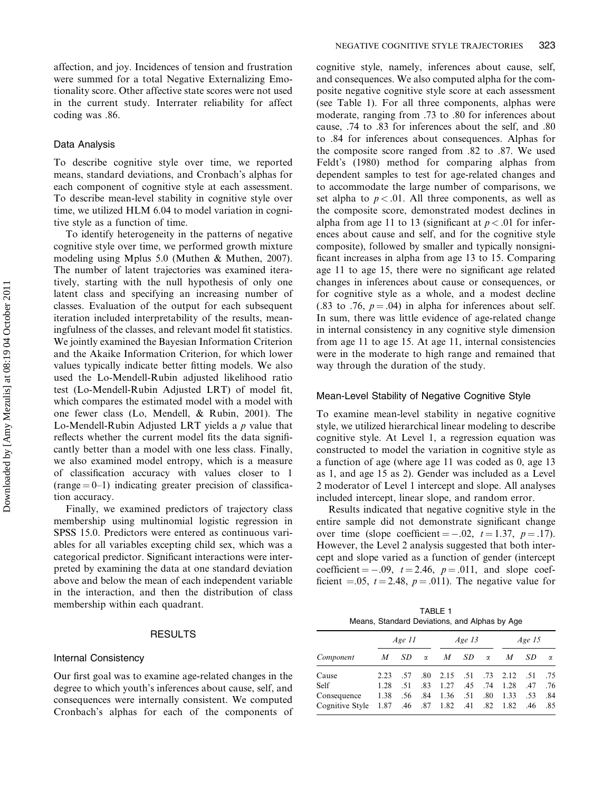affection, and joy. Incidences of tension and frustration were summed for a total Negative Externalizing Emotionality score. Other affective state scores were not used in the current study. Interrater reliability for affect coding was .86.

#### Data Analysis

To describe cognitive style over time, we reported means, standard deviations, and Cronbach's alphas for each component of cognitive style at each assessment. To describe mean-level stability in cognitive style over time, we utilized HLM 6.04 to model variation in cognitive style as a function of time.

To identify heterogeneity in the patterns of negative cognitive style over time, we performed growth mixture modeling using Mplus 5.0 (Muthen & Muthen, 2007). The number of latent trajectories was examined iteratively, starting with the null hypothesis of only one latent class and specifying an increasing number of classes. Evaluation of the output for each subsequent iteration included interpretability of the results, meaningfulness of the classes, and relevant model fit statistics. We jointly examined the Bayesian Information Criterion and the Akaike Information Criterion, for which lower values typically indicate better fitting models. We also used the Lo-Mendell-Rubin adjusted likelihood ratio test (Lo-Mendell-Rubin Adjusted LRT) of model fit, which compares the estimated model with a model with one fewer class (Lo, Mendell, & Rubin, 2001). The Lo-Mendell-Rubin Adjusted LRT yields a  $p$  value that reflects whether the current model fits the data significantly better than a model with one less class. Finally, we also examined model entropy, which is a measure of classification accuracy with values closer to 1  $(range = 0-1)$  indicating greater precision of classification accuracy.

Finally, we examined predictors of trajectory class membership using multinomial logistic regression in SPSS 15.0. Predictors were entered as continuous variables for all variables excepting child sex, which was a categorical predictor. Significant interactions were interpreted by examining the data at one standard deviation above and below the mean of each independent variable in the interaction, and then the distribution of class membership within each quadrant.

## RESULTS

#### Internal Consistency

Our first goal was to examine age-related changes in the degree to which youth's inferences about cause, self, and consequences were internally consistent. We computed Cronbach's alphas for each of the components of cognitive style, namely, inferences about cause, self, and consequences. We also computed alpha for the composite negative cognitive style score at each assessment (see Table 1). For all three components, alphas were moderate, ranging from .73 to .80 for inferences about cause, .74 to .83 for inferences about the self, and .80 to .84 for inferences about consequences. Alphas for the composite score ranged from .82 to .87. We used Feldt's (1980) method for comparing alphas from dependent samples to test for age-related changes and to accommodate the large number of comparisons, we set alpha to  $p < .01$ . All three components, as well as the composite score, demonstrated modest declines in alpha from age 11 to 13 (significant at  $p < .01$  for inferences about cause and self, and for the cognitive style composite), followed by smaller and typically nonsignificant increases in alpha from age 13 to 15. Comparing age 11 to age 15, there were no significant age related changes in inferences about cause or consequences, or for cognitive style as a whole, and a modest decline  $(.83 \text{ to } .76, p = .04)$  in alpha for inferences about self. In sum, there was little evidence of age-related change in internal consistency in any cognitive style dimension from age 11 to age 15. At age 11, internal consistencies were in the moderate to high range and remained that way through the duration of the study.

#### Mean-Level Stability of Negative Cognitive Style

To examine mean-level stability in negative cognitive style, we utilized hierarchical linear modeling to describe cognitive style. At Level 1, a regression equation was constructed to model the variation in cognitive style as a function of age (where age 11 was coded as 0, age 13 as 1, and age 15 as 2). Gender was included as a Level 2 moderator of Level 1 intercept and slope. All analyses included intercept, linear slope, and random error.

Results indicated that negative cognitive style in the entire sample did not demonstrate significant change over time (slope coefficient  $=$  -.02,  $t = 1.37$ ,  $p = .17$ ). However, the Level 2 analysis suggested that both intercept and slope varied as a function of gender (intercept coefficient  $=$  -.09,  $t = 2.46$ ,  $p = .011$ , and slope coefficient  $= .05$ ,  $t = 2.48$ ,  $p = .011$ ). The negative value for

TABLE 1 Means, Standard Deviations, and Alphas by Age

|                                    |      | Age 11 |                  | Age 13            |     | Age $15$ |                       |     |          |
|------------------------------------|------|--------|------------------|-------------------|-----|----------|-----------------------|-----|----------|
| Component                          | M    | SD.    | $\alpha$         | M                 | SD. | $\alpha$ | M                     | SD  | $\alpha$ |
| Cause                              | 2.23 | .57    | .80 <sub>1</sub> |                   |     |          | 2.15 .51 .73 2.12 .51 |     | .75      |
| Self                               | 1.28 | .51    | .83              | 1.27 .45 .74 1.28 |     |          |                       | .47 | .76      |
| Consequence                        | 1.38 | .56    | .84              | 1.36 .51          |     | .80      | 1.33                  | .53 | .84      |
| 41. 82. 87 Style 1.87 .46 .87 1.82 |      |        |                  |                   |     |          | .82 1.82              | .46 | .85      |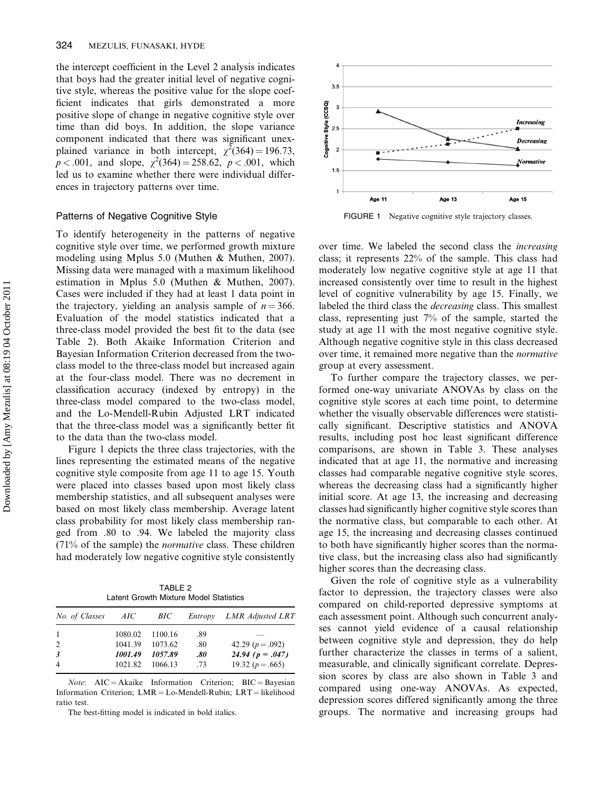the intercept coefficient in the Level 2 analysis indicates that boys had the greater initial level of negative cognitive style, whereas the positive value for the slope coefficient indicates that girls demonstrated a more positive slope of change in negative cognitive style over time than did boys. In addition, the slope variance component indicated that there was significant unexplained variance in both intercept,  $\chi^2(364) = 196.73$ ,  $p < .001$ , and slope,  $\chi^2(364) = 258.62$ ,  $p < .001$ , which led us to examine whether there were individual differences in trajectory patterns over time.

#### Patterns of Negative Cognitive Style

To identify heterogeneity in the patterns of negative cognitive style over time, we performed growth mixture modeling using Mplus 5.0 (Muthen & Muthen, 2007). Missing data were managed with a maximum likelihood estimation in Mplus 5.0 (Muthen & Muthen, 2007). Cases were included if they had at least 1 data point in the trajectory, yielding an analysis sample of  $n = 366$ . Evaluation of the model statistics indicated that a three-class model provided the best fit to the data (see Table 2). Both Akaike Information Criterion and Bayesian Information Criterion decreased from the twoclass model to the three-class model but increased again at the four-class model. There was no decrement in classification accuracy (indexed by entropy) in the three-class model compared to the two-class model, and the Lo-Mendell-Rubin Adjusted LRT indicated that the three-class model was a significantly better fit to the data than the two-class model.

Figure 1 depicts the three class trajectories, with the lines representing the estimated means of the negative cognitive style composite from age 11 to age 15. Youth were placed into classes based upon most likely class membership statistics, and all subsequent analyses were based on most likely class membership. Average latent class probability for most likely class membership ranged from .80 to .94. We labeled the majority class (71% of the sample) the normative class. These children had moderately low negative cognitive style consistently

TABLE 2 Latent Growth Mixture Model Statistics

| No. of Classes | AIC     | BIC       | Entropy | LMR Adjusted LRT |
|----------------|---------|-----------|---------|------------------|
|                | 1080.02 | - 1100 16 | .89     |                  |
| 2              | 1041.39 | 1073.62   | .80     | 42.29 $(p=.092)$ |
| 3              | 1001.49 | 1057.89   | .80     | 24.94 $(p=.047)$ |
| $\overline{4}$ | 1021.82 | 1066 13   | .73     | 19.32 $(p=.665)$ |

*Note*:  $AIC = Akaike$  Information Criterion;  $BIC = Bayesian$ Information Criterion;  $LMR = Lo$ -Mendell-Rubin;  $LRT =$ likelihood ratio test.

The best-fitting model is indicated in bold italics.



FIGURE 1 Negative cognitive style trajectory classes.

over time. We labeled the second class the increasing class; it represents 22% of the sample. This class had moderately low negative cognitive style at age 11 that increased consistently over time to result in the highest level of cognitive vulnerability by age 15. Finally, we labeled the third class the decreasing class. This smallest class, representing just 7% of the sample, started the study at age 11 with the most negative cognitive style. Although negative cognitive style in this class decreased over time, it remained more negative than the normative group at every assessment.

To further compare the trajectory classes, we performed one-way univariate ANOVAs by class on the cognitive style scores at each time point, to determine whether the visually observable differences were statistically significant. Descriptive statistics and ANOVA results, including post hoc least significant difference comparisons, are shown in Table 3. These analyses indicated that at age 11, the normative and increasing classes had comparable negative cognitive style scores, whereas the decreasing class had a significantly higher initial score. At age 13, the increasing and decreasing classes had significantly higher cognitive style scores than the normative class, but comparable to each other. At age 15, the increasing and decreasing classes continued to both have significantly higher scores than the normative class, but the increasing class also had significantly higher scores than the decreasing class.

Given the role of cognitive style as a vulnerability factor to depression, the trajectory classes were also compared on child-reported depressive symptoms at each assessment point. Although such concurrent analyses cannot yield evidence of a causal relationship between cognitive style and depression, they do help further characterize the classes in terms of a salient, measurable, and clinically significant correlate. Depression scores by class are also shown in Table 3 and compared using one-way ANOVAs. As expected, depression scores differed significantly among the three groups. The normative and increasing groups had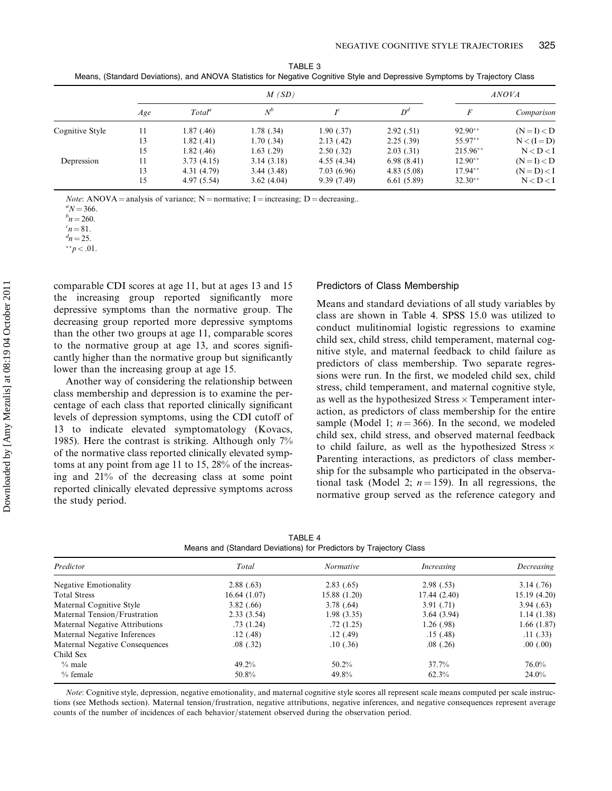|                 |     | M(SD)              |            |             |            |            | <i>ANOVA</i>  |  |  |
|-----------------|-----|--------------------|------------|-------------|------------|------------|---------------|--|--|
|                 | Age | Total <sup>a</sup> | $N^b$      |             | $D^d$      | F          | Comparison    |  |  |
| Cognitive Style | 11  | 1.87(0.46)         | 1.78(0.34) | 1.90(.37)   | 2.92(.51)  | $92.90**$  | $(N=1)<$ D    |  |  |
|                 | 13  | 1.82(0.41)         | 1.70(0.34) | 2.13(42)    | 2.25(.39)  | 55.97**    | $N < (I = D)$ |  |  |
|                 | 15  | 1.82(0.46)         | 1.63(0.29) | 2.50(0.32)  | 2.03(0.31) | $215.96**$ | N < D < I     |  |  |
| Depression      | 11  | 3.73(4.15)         | 3.14(3.18) | 4.55(4.34)  | 6.98(8.41) | $12.90**$  | $(N=1)<$ D    |  |  |
|                 | 13  | 4.31 (4.79)        | 3.44(3.48) | 7.03(6.96)  | 4.83(5.08) | $17.94**$  | $(N=D) < I$   |  |  |
|                 | 15  | 4.97(5.54)         | 3.62(4.04) | 9.39 (7.49) | 6.61(5.89) | $32.30**$  | N < D < I     |  |  |

TABLE 3 Means, (Standard Deviations), and ANOVA Statistics for Negative Cognitive Style and Depressive Symptoms by Trajectory Class

*Note*: ANOVA = analysis of variance; N = normative; I = increasing; D = decreasing..

 $h h = 260.$  $\ell n = 81$ .

 $n = 25$ .

\*\* $p < .01$ .

comparable CDI scores at age 11, but at ages 13 and 15 the increasing group reported significantly more depressive symptoms than the normative group. The decreasing group reported more depressive symptoms than the other two groups at age 11, comparable scores to the normative group at age 13, and scores significantly higher than the normative group but significantly lower than the increasing group at age 15.

Another way of considering the relationship between class membership and depression is to examine the percentage of each class that reported clinically significant levels of depression symptoms, using the CDI cutoff of 13 to indicate elevated symptomatology (Kovacs, 1985). Here the contrast is striking. Although only 7% of the normative class reported clinically elevated symptoms at any point from age 11 to 15, 28% of the increasing and 21% of the decreasing class at some point reported clinically elevated depressive symptoms across the study period.

### Predictors of Class Membership

Means and standard deviations of all study variables by class are shown in Table 4. SPSS 15.0 was utilized to conduct mulitinomial logistic regressions to examine child sex, child stress, child temperament, maternal cognitive style, and maternal feedback to child failure as predictors of class membership. Two separate regressions were run. In the first, we modeled child sex, child stress, child temperament, and maternal cognitive style, as well as the hypothesized Stress  $\times$  Temperament interaction, as predictors of class membership for the entire sample (Model 1;  $n = 366$ ). In the second, we modeled child sex, child stress, and observed maternal feedback to child failure, as well as the hypothesized Stress  $\times$ Parenting interactions, as predictors of class membership for the subsample who participated in the observational task (Model 2;  $n = 159$ ). In all regressions, the normative group served as the reference category and

TABLE 4 Means and (Standard Deviations) for Predictors by Trajectory Class

| Total       | <b>Normative</b> | <i>Increasing</i> | Decreasing   |
|-------------|------------------|-------------------|--------------|
| 2.88(.63)   | 2.83(0.65)       | 2.98(.53)         | 3.14(.76)    |
| 16.64(1.07) | 15.88 (1.20)     | 17.44(2.40)       | 15.19 (4.20) |
| 3.82(0.66)  | 3.78(0.64)       | 3.91(0.71)        | 3.94(.63)    |
| 2.33(3.54)  | 1.98(3.35)       | 3.64(3.94)        | 1.14(1.38)   |
| .73(1.24)   | .72(1.25)        | 1.26(0.98)        | 1.66(1.87)   |
| .12(.48)    | .12(.49)         | .15(0.48)         | .11(0.33)    |
| .08(.32)    | .10(0.36)        | .08(.26)          | .00(0.00)    |
|             |                  |                   |              |
| 49.2%       | $50.2\%$         | 37.7%             | $76.0\%$     |
| 50.8%       | 49.8%            | 62.3%             | 24.0%        |
|             |                  |                   |              |

Note: Cognitive style, depression, negative emotionality, and maternal cognitive style scores all represent scale means computed per scale instructions (see Methods section). Maternal tension/frustration, negative attributions, negative inferences, and negative consequences represent average counts of the number of incidences of each behavior/statement observed during the observation period.

 $N = 366$ .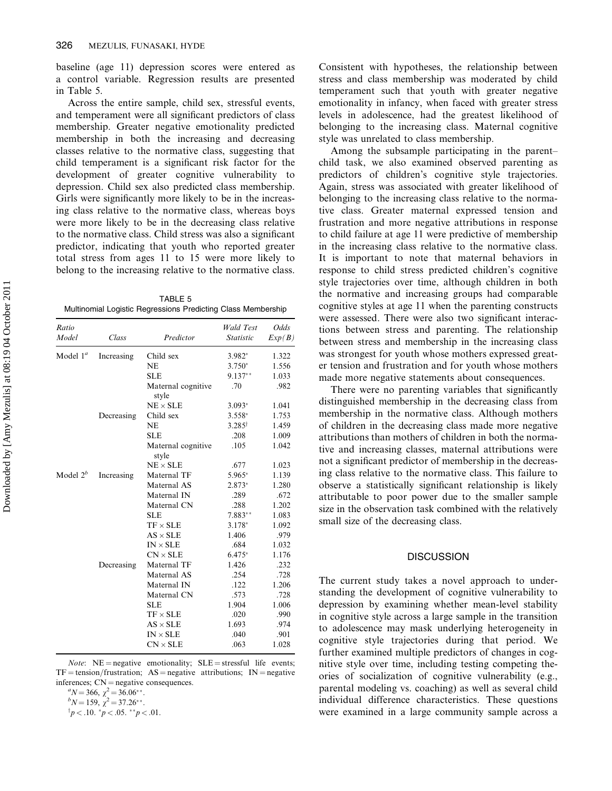baseline (age 11) depression scores were entered as a control variable. Regression results are presented in Table 5.

Across the entire sample, child sex, stressful events, and temperament were all significant predictors of class membership. Greater negative emotionality predicted membership in both the increasing and decreasing classes relative to the normative class, suggesting that child temperament is a significant risk factor for the development of greater cognitive vulnerability to depression. Child sex also predicted class membership. Girls were significantly more likely to be in the increasing class relative to the normative class, whereas boys were more likely to be in the decreasing class relative to the normative class. Child stress was also a significant predictor, indicating that youth who reported greater total stress from ages 11 to 15 were more likely to belong to the increasing relative to the normative class.

| TABLE 5                                                      |
|--------------------------------------------------------------|
| Multinomial Logistic Regressions Predicting Class Membership |

| Ratio<br>Model | Class      | Predictor                   | <b>Wald Test</b><br><i>Statistic</i> | Odds<br>Exp(B) |
|----------------|------------|-----------------------------|--------------------------------------|----------------|
| Model $1^a$    | Increasing | Child sex                   | 3.982*                               | 1.322          |
|                |            | <b>NE</b>                   | $3.750*$                             | 1.556          |
|                |            | <b>SLE</b>                  | $9.137**$                            | 1.033          |
|                |            | Maternal cognitive<br>style | .70                                  | .982           |
|                |            | $NE \times SLE$             | $3.093*$                             | 1.041          |
|                | Decreasing | Child sex                   | 3.558*                               | 1.753          |
|                |            | <b>NE</b>                   | $3.285^{\dagger}$                    | 1.459          |
|                |            | <b>SLE</b>                  | .208                                 | 1.009          |
|                |            | Maternal cognitive<br>style | .105                                 | 1.042          |
|                |            | $NE \times SLE$             | .677                                 | 1.023          |
| Model $2^b$    | Increasing | Maternal TF                 | 5.965*                               | 1.139          |
|                |            | Maternal AS                 | 2.873*                               | 1.280          |
|                |            | Maternal IN                 | .289                                 | .672           |
|                |            | Maternal CN                 | .288                                 | 1.202          |
|                |            | <b>SLE</b>                  | $7.883**$                            | 1.083          |
|                |            | $TF \times SLE$             | $3.178*$                             | 1.092          |
|                |            | $AS \times SLE$             | 1.406                                | .979           |
|                |            | $IN \times SLE$             | .684                                 | 1.032          |
|                |            | $CN \times SLE$             | $6.475*$                             | 1.176          |
|                | Decreasing | Maternal TF                 | 1.426                                | .232           |
|                |            | Maternal AS                 | .254                                 | .728           |
|                |            | Maternal IN                 | .122                                 | 1.206          |
|                |            | Maternal CN                 | .573                                 | .728           |
|                |            | <b>SLE</b>                  | 1.904                                | 1.006          |
|                |            | $TF \times SLE$             | .020                                 | .990           |
|                |            | $AS \times SLE$             | 1.693                                | .974           |
|                |            | $IN \times SLE$             | .040                                 | .901           |
|                |            | $CN \times SLE$             | .063                                 | 1.028          |
|                |            |                             |                                      |                |

*Note*:  $NE =$  negative emotionality;  $SLE =$  stressful life events;  $TF = tension/frustration$ ;  $AS = negative$  attributions;  $IN = negative$ inferences;  $CN =$  negative consequences.

 $N = 366$ ,  $\chi^2 = 36.06^{**}$ .

 $bN = 159$ ,  $\chi^2 = 37.26$ \*\*.

 $\frac{1}{p}$  < .10.  $\frac{1}{p}$  < .05.  $\frac{1}{p}$  < .01.

Consistent with hypotheses, the relationship between stress and class membership was moderated by child temperament such that youth with greater negative emotionality in infancy, when faced with greater stress levels in adolescence, had the greatest likelihood of belonging to the increasing class. Maternal cognitive style was unrelated to class membership.

Among the subsample participating in the parent– child task, we also examined observed parenting as predictors of children's cognitive style trajectories. Again, stress was associated with greater likelihood of belonging to the increasing class relative to the normative class. Greater maternal expressed tension and frustration and more negative attributions in response to child failure at age 11 were predictive of membership in the increasing class relative to the normative class. It is important to note that maternal behaviors in response to child stress predicted children's cognitive style trajectories over time, although children in both the normative and increasing groups had comparable cognitive styles at age 11 when the parenting constructs were assessed. There were also two significant interactions between stress and parenting. The relationship between stress and membership in the increasing class was strongest for youth whose mothers expressed greater tension and frustration and for youth whose mothers made more negative statements about consequences.

There were no parenting variables that significantly distinguished membership in the decreasing class from membership in the normative class. Although mothers of children in the decreasing class made more negative attributions than mothers of children in both the normative and increasing classes, maternal attributions were not a significant predictor of membership in the decreasing class relative to the normative class. This failure to observe a statistically significant relationship is likely attributable to poor power due to the smaller sample size in the observation task combined with the relatively small size of the decreasing class.

#### **DISCUSSION**

The current study takes a novel approach to understanding the development of cognitive vulnerability to depression by examining whether mean-level stability in cognitive style across a large sample in the transition to adolescence may mask underlying heterogeneity in cognitive style trajectories during that period. We further examined multiple predictors of changes in cognitive style over time, including testing competing theories of socialization of cognitive vulnerability (e.g., parental modeling vs. coaching) as well as several child individual difference characteristics. These questions were examined in a large community sample across a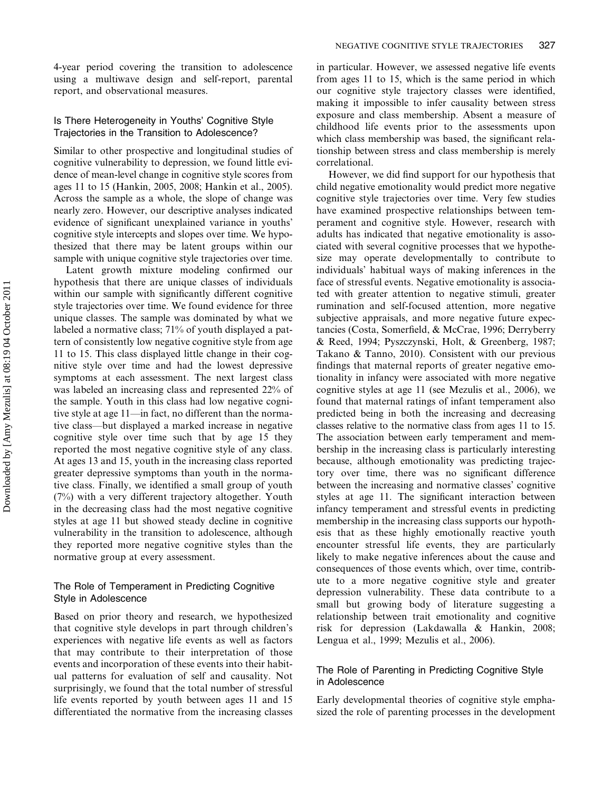4-year period covering the transition to adolescence using a multiwave design and self-report, parental report, and observational measures.

## Is There Heterogeneity in Youths' Cognitive Style Trajectories in the Transition to Adolescence?

Similar to other prospective and longitudinal studies of cognitive vulnerability to depression, we found little evidence of mean-level change in cognitive style scores from ages 11 to 15 (Hankin, 2005, 2008; Hankin et al., 2005). Across the sample as a whole, the slope of change was nearly zero. However, our descriptive analyses indicated evidence of significant unexplained variance in youths' cognitive style intercepts and slopes over time. We hypothesized that there may be latent groups within our sample with unique cognitive style trajectories over time.

Latent growth mixture modeling confirmed our hypothesis that there are unique classes of individuals within our sample with significantly different cognitive style trajectories over time. We found evidence for three unique classes. The sample was dominated by what we labeled a normative class; 71% of youth displayed a pattern of consistently low negative cognitive style from age 11 to 15. This class displayed little change in their cognitive style over time and had the lowest depressive symptoms at each assessment. The next largest class was labeled an increasing class and represented 22% of the sample. Youth in this class had low negative cognitive style at age 11—in fact, no different than the normative class—but displayed a marked increase in negative cognitive style over time such that by age 15 they reported the most negative cognitive style of any class. At ages 13 and 15, youth in the increasing class reported greater depressive symptoms than youth in the normative class. Finally, we identified a small group of youth (7%) with a very different trajectory altogether. Youth in the decreasing class had the most negative cognitive styles at age 11 but showed steady decline in cognitive vulnerability in the transition to adolescence, although they reported more negative cognitive styles than the normative group at every assessment.

## The Role of Temperament in Predicting Cognitive Style in Adolescence

Based on prior theory and research, we hypothesized that cognitive style develops in part through children's experiences with negative life events as well as factors that may contribute to their interpretation of those events and incorporation of these events into their habitual patterns for evaluation of self and causality. Not surprisingly, we found that the total number of stressful life events reported by youth between ages 11 and 15 differentiated the normative from the increasing classes in particular. However, we assessed negative life events from ages 11 to 15, which is the same period in which our cognitive style trajectory classes were identified, making it impossible to infer causality between stress exposure and class membership. Absent a measure of childhood life events prior to the assessments upon which class membership was based, the significant relationship between stress and class membership is merely correlational.

However, we did find support for our hypothesis that child negative emotionality would predict more negative cognitive style trajectories over time. Very few studies have examined prospective relationships between temperament and cognitive style. However, research with adults has indicated that negative emotionality is associated with several cognitive processes that we hypothesize may operate developmentally to contribute to individuals' habitual ways of making inferences in the face of stressful events. Negative emotionality is associated with greater attention to negative stimuli, greater rumination and self-focused attention, more negative subjective appraisals, and more negative future expectancies (Costa, Somerfield, & McCrae, 1996; Derryberry & Reed, 1994; Pyszczynski, Holt, & Greenberg, 1987; Takano & Tanno, 2010). Consistent with our previous findings that maternal reports of greater negative emotionality in infancy were associated with more negative cognitive styles at age 11 (see Mezulis et al., 2006), we found that maternal ratings of infant temperament also predicted being in both the increasing and decreasing classes relative to the normative class from ages 11 to 15. The association between early temperament and membership in the increasing class is particularly interesting because, although emotionality was predicting trajectory over time, there was no significant difference between the increasing and normative classes' cognitive styles at age 11. The significant interaction between infancy temperament and stressful events in predicting membership in the increasing class supports our hypothesis that as these highly emotionally reactive youth encounter stressful life events, they are particularly likely to make negative inferences about the cause and consequences of those events which, over time, contribute to a more negative cognitive style and greater depression vulnerability. These data contribute to a small but growing body of literature suggesting a relationship between trait emotionality and cognitive risk for depression (Lakdawalla & Hankin, 2008; Lengua et al., 1999; Mezulis et al., 2006).

## The Role of Parenting in Predicting Cognitive Style in Adolescence

Early developmental theories of cognitive style emphasized the role of parenting processes in the development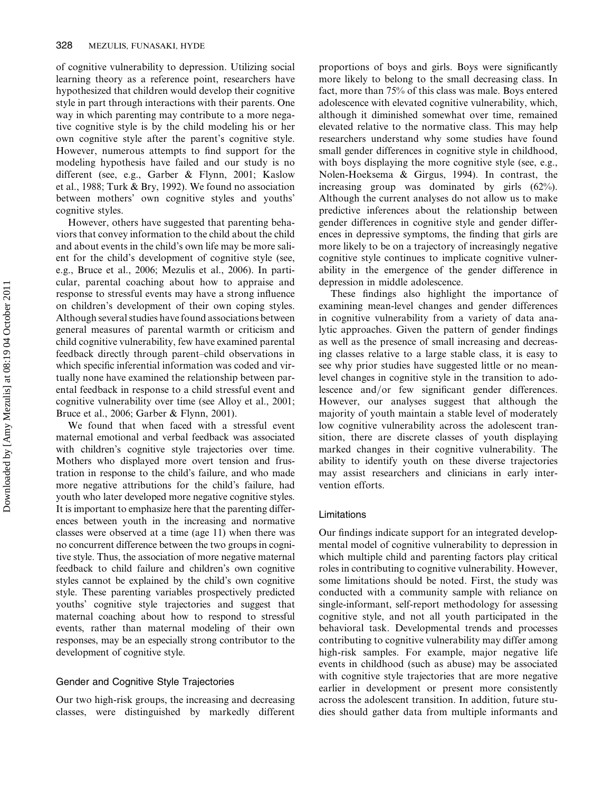of cognitive vulnerability to depression. Utilizing social learning theory as a reference point, researchers have hypothesized that children would develop their cognitive style in part through interactions with their parents. One way in which parenting may contribute to a more negative cognitive style is by the child modeling his or her own cognitive style after the parent's cognitive style. However, numerous attempts to find support for the modeling hypothesis have failed and our study is no different (see, e.g., Garber & Flynn, 2001; Kaslow et al., 1988; Turk & Bry, 1992). We found no association between mothers' own cognitive styles and youths' cognitive styles.

However, others have suggested that parenting behaviors that convey information to the child about the child and about events in the child's own life may be more salient for the child's development of cognitive style (see, e.g., Bruce et al., 2006; Mezulis et al., 2006). In particular, parental coaching about how to appraise and response to stressful events may have a strong influence on children's development of their own coping styles. Although several studies have found associations between general measures of parental warmth or criticism and child cognitive vulnerability, few have examined parental feedback directly through parent–child observations in which specific inferential information was coded and virtually none have examined the relationship between parental feedback in response to a child stressful event and cognitive vulnerability over time (see Alloy et al., 2001; Bruce et al., 2006; Garber & Flynn, 2001).

We found that when faced with a stressful event maternal emotional and verbal feedback was associated with children's cognitive style trajectories over time. Mothers who displayed more overt tension and frustration in response to the child's failure, and who made more negative attributions for the child's failure, had youth who later developed more negative cognitive styles. It is important to emphasize here that the parenting differences between youth in the increasing and normative classes were observed at a time (age 11) when there was no concurrent difference between the two groups in cognitive style. Thus, the association of more negative maternal feedback to child failure and children's own cognitive styles cannot be explained by the child's own cognitive style. These parenting variables prospectively predicted youths' cognitive style trajectories and suggest that maternal coaching about how to respond to stressful events, rather than maternal modeling of their own responses, may be an especially strong contributor to the development of cognitive style.

#### Gender and Cognitive Style Trajectories

Our two high-risk groups, the increasing and decreasing classes, were distinguished by markedly different

proportions of boys and girls. Boys were significantly more likely to belong to the small decreasing class. In fact, more than 75% of this class was male. Boys entered adolescence with elevated cognitive vulnerability, which, although it diminished somewhat over time, remained elevated relative to the normative class. This may help researchers understand why some studies have found small gender differences in cognitive style in childhood, with boys displaying the more cognitive style (see, e.g., Nolen-Hoeksema & Girgus, 1994). In contrast, the increasing group was dominated by girls (62%). Although the current analyses do not allow us to make predictive inferences about the relationship between gender differences in cognitive style and gender differences in depressive symptoms, the finding that girls are more likely to be on a trajectory of increasingly negative cognitive style continues to implicate cognitive vulnerability in the emergence of the gender difference in depression in middle adolescence.

These findings also highlight the importance of examining mean-level changes and gender differences in cognitive vulnerability from a variety of data analytic approaches. Given the pattern of gender findings as well as the presence of small increasing and decreasing classes relative to a large stable class, it is easy to see why prior studies have suggested little or no meanlevel changes in cognitive style in the transition to adolescence and/or few significant gender differences. However, our analyses suggest that although the majority of youth maintain a stable level of moderately low cognitive vulnerability across the adolescent transition, there are discrete classes of youth displaying marked changes in their cognitive vulnerability. The ability to identify youth on these diverse trajectories may assist researchers and clinicians in early intervention efforts.

#### Limitations

Our findings indicate support for an integrated developmental model of cognitive vulnerability to depression in which multiple child and parenting factors play critical roles in contributing to cognitive vulnerability. However, some limitations should be noted. First, the study was conducted with a community sample with reliance on single-informant, self-report methodology for assessing cognitive style, and not all youth participated in the behavioral task. Developmental trends and processes contributing to cognitive vulnerability may differ among high-risk samples. For example, major negative life events in childhood (such as abuse) may be associated with cognitive style trajectories that are more negative earlier in development or present more consistently across the adolescent transition. In addition, future studies should gather data from multiple informants and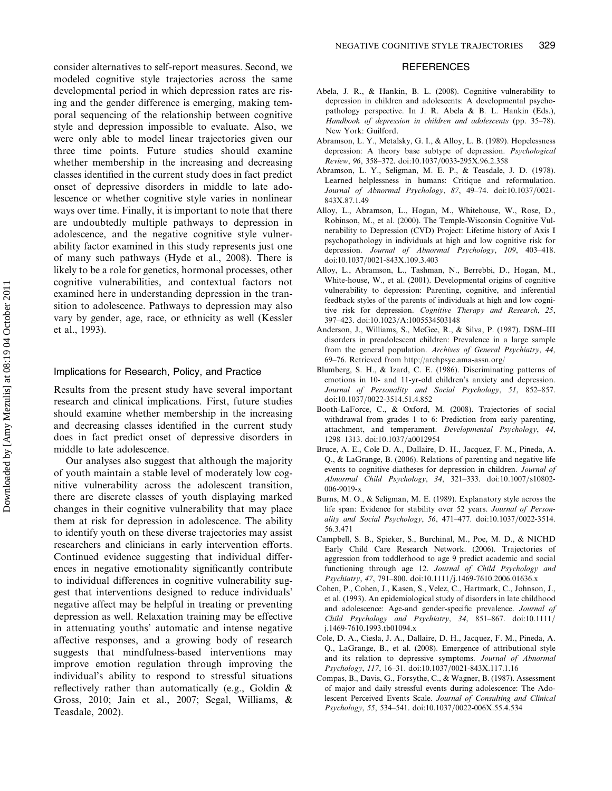consider alternatives to self-report measures. Second, we modeled cognitive style trajectories across the same developmental period in which depression rates are rising and the gender difference is emerging, making temporal sequencing of the relationship between cognitive style and depression impossible to evaluate. Also, we were only able to model linear trajectories given our three time points. Future studies should examine whether membership in the increasing and decreasing classes identified in the current study does in fact predict onset of depressive disorders in middle to late adolescence or whether cognitive style varies in nonlinear ways over time. Finally, it is important to note that there are undoubtedly multiple pathways to depression in adolescence, and the negative cognitive style vulnerability factor examined in this study represents just one of many such pathways (Hyde et al., 2008). There is likely to be a role for genetics, hormonal processes, other cognitive vulnerabilities, and contextual factors not examined here in understanding depression in the transition to adolescence. Pathways to depression may also vary by gender, age, race, or ethnicity as well (Kessler et al., 1993).

#### Implications for Research, Policy, and Practice

Results from the present study have several important research and clinical implications. First, future studies should examine whether membership in the increasing and decreasing classes identified in the current study does in fact predict onset of depressive disorders in middle to late adolescence.

Our analyses also suggest that although the majority of youth maintain a stable level of moderately low cognitive vulnerability across the adolescent transition, there are discrete classes of youth displaying marked changes in their cognitive vulnerability that may place them at risk for depression in adolescence. The ability to identify youth on these diverse trajectories may assist researchers and clinicians in early intervention efforts. Continued evidence suggesting that individual differences in negative emotionality significantly contribute to individual differences in cognitive vulnerability suggest that interventions designed to reduce individuals' negative affect may be helpful in treating or preventing depression as well. Relaxation training may be effective in attenuating youths' automatic and intense negative affective responses, and a growing body of research suggests that mindfulness-based interventions may improve emotion regulation through improving the individual's ability to respond to stressful situations reflectively rather than automatically (e.g., Goldin & Gross, 2010; Jain et al., 2007; Segal, Williams, & Teasdale, 2002).

### **REFERENCES**

- Abela, J. R., & Hankin, B. L. (2008). Cognitive vulnerability to depression in children and adolescents: A developmental psychopathology perspective. In J. R. Abela & B. L. Hankin (Eds.), Handbook of depression in children and adolescents (pp. 35–78). New York: Guilford.
- Abramson, L. Y., Metalsky, G. I., & Alloy, L. B. (1989). Hopelessness depression: A theory base subtype of depression. Psychological Review, 96, 358-372. doi:10.1037/0033-295X.96.2.358
- Abramson, L. Y., Seligman, M. E. P., & Teasdale, J. D. (1978). Learned helplessness in humans: Critique and reformulation. Journal of Abnormal Psychology, 87, 49-74. doi:10.1037/0021-843X.87.1.49
- Alloy, L., Abramson, L., Hogan, M., Whitehouse, W., Rose, D., Robinson, M., et al. (2000). The Temple-Wisconsin Cognitive Vulnerability to Depression (CVD) Project: Lifetime history of Axis I psychopathology in individuals at high and low cognitive risk for depression. Journal of Abnormal Psychology, 109, 403–418. doi:10.1037/0021-843X.109.3.403
- Alloy, L., Abramson, L., Tashman, N., Berrebbi, D., Hogan, M., White-house, W., et al. (2001). Developmental origins of cognitive vulnerability to depression: Parenting, cognitive, and inferential feedback styles of the parents of individuals at high and low cognitive risk for depression. Cognitive Therapy and Research, 25, 397-423. doi:10.1023/A:1005534503148
- Anderson, J., Williams, S., McGee, R., & Silva, P. (1987). DSM–III disorders in preadolescent children: Prevalence in a large sample from the general population. Archives of General Psychiatry, 44, 69–76. Retrieved from http://archpsyc.ama-assn.org/
- Blumberg, S. H., & Izard, C. E. (1986). Discriminating patterns of emotions in 10- and 11-yr-old children's anxiety and depression. Journal of Personality and Social Psychology, 51, 852–857. doi:10.1037/0022-3514.51.4.852
- Booth-LaForce, C., & Oxford, M. (2008). Trajectories of social withdrawal from grades 1 to 6: Prediction from early parenting, attachment, and temperament. Developmental Psychology, 44, 1298-1313. doi:10.1037/a0012954
- Bruce, A. E., Cole D. A., Dallaire, D. H., Jacquez, F. M., Pineda, A. Q., & LaGrange, B. (2006). Relations of parenting and negative life events to cognitive diatheses for depression in children. Journal of Abnormal Child Psychology, 34, 321-333. doi:10.1007/s10802-006-9019-x
- Burns, M. O., & Seligman, M. E. (1989). Explanatory style across the life span: Evidence for stability over 52 years. Journal of Personality and Social Psychology, 56, 471-477. doi:10.1037/0022-3514. 56.3.471
- Campbell, S. B., Spieker, S., Burchinal, M., Poe, M. D., & NICHD Early Child Care Research Network. (2006). Trajectories of aggression from toddlerhood to age 9 predict academic and social functioning through age 12. Journal of Child Psychology and Psychiatry, 47, 791-800. doi:10.1111/j.1469-7610.2006.01636.x
- Cohen, P., Cohen, J., Kasen, S., Velez, C., Hartmark, C., Johnson, J., et al. (1993). An epidemiological study of disorders in late childhood and adolescence: Age-and gender-specific prevalence. Journal of Child Psychology and Psychiatry, 34, 851-867. doi:10.1111/ j.1469-7610.1993.tb01094.x
- Cole, D. A., Ciesla, J. A., Dallaire, D. H., Jacquez, F. M., Pineda, A. Q., LaGrange, B., et al. (2008). Emergence of attributional style and its relation to depressive symptoms. Journal of Abnormal Psychology, 117, 16-31. doi:10.1037/0021-843X.117.1.16
- Compas, B., Davis, G., Forsythe, C., & Wagner, B. (1987). Assessment of major and daily stressful events during adolescence: The Adolescent Perceived Events Scale. Journal of Consulting and Clinical Psychology, 55, 534-541. doi:10.1037/0022-006X.55.4.534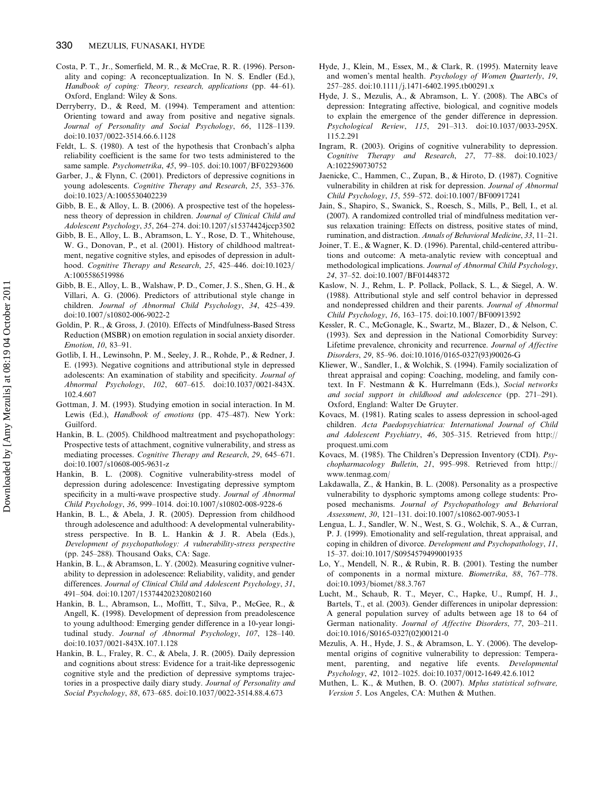- Costa, P. T., Jr., Somerfield, M. R., & McCrae, R. R. (1996). Personality and coping: A reconceptualization. In N. S. Endler (Ed.), Handbook of coping: Theory, research, applications (pp. 44–61). Oxford, England: Wiley & Sons.
- Derryberry, D., & Reed, M. (1994). Temperament and attention: Orienting toward and away from positive and negative signals. Journal of Personality and Social Psychology, 66, 1128–1139. doi:10.1037/0022-3514.66.6.1128
- Feldt, L. S. (1980). A test of the hypothesis that Cronbach's alpha reliability coefficient is the same for two tests administered to the same sample. Psychometrika, 45, 99-105. doi:10.1007/BF02293600
- Garber, J., & Flynn, C. (2001). Predictors of depressive cognitions in young adolescents. Cognitive Therapy and Research, 25, 353–376. doi:10.1023/A:1005530402239
- Gibb, B. E., & Alloy, L. B. (2006). A prospective test of the hopelessness theory of depression in children. Journal of Clinical Child and Adolescent Psychology, 35, 264-274. doi:10.1207/s15374424jccp3502
- Gibb, B. E., Alloy, L. B., Abramson, L. Y., Rose, D. T., Whitehouse, W. G., Donovan, P., et al. (2001). History of childhood maltreatment, negative cognitive styles, and episodes of depression in adulthood. Cognitive Therapy and Research, 25, 425-446. doi:10.1023/ A:1005586519986
- Gibb, B. E., Alloy, L. B., Walshaw, P. D., Comer, J. S., Shen, G. H., & Villari, A. G. (2006). Predictors of attributional style change in children. Journal of Abnormal Child Psychology, 34, 425–439. doi:10.1007/s10802-006-9022-2
- Goldin, P. R., & Gross, J. (2010). Effects of Mindfulness-Based Stress Reduction (MSBR) on emotion regulation in social anxiety disorder. Emotion, 10, 83–91.
- Gotlib, I. H., Lewinsohn, P. M., Seeley, J. R., Rohde, P., & Redner, J. E. (1993). Negative cognitions and attributional style in depressed adolescents: An examination of stability and specificity. Journal of Abnormal Psychology, 102, 607-615. doi:10.1037/0021-843X. 102.4.607
- Gottman, J. M. (1993). Studying emotion in social interaction. In M. Lewis (Ed.), *Handbook of emotions* (pp. 475–487). New York: Guilford.
- Hankin, B. L. (2005). Childhood maltreatment and psychopathology: Prospective tests of attachment, cognitive vulnerability, and stress as mediating processes. Cognitive Therapy and Research, 29, 645–671. doi:10.1007/s10608-005-9631-z
- Hankin, B. L. (2008). Cognitive vulnerability-stress model of depression during adolescence: Investigating depressive symptom specificity in a multi-wave prospective study. Journal of Abnormal Child Psychology, 36, 999-1014. doi:10.1007/s10802-008-9228-6
- Hankin, B. L., & Abela, J. R. (2005). Depression from childhood through adolescence and adulthood: A developmental vulnerabilitystress perspective. In B. L. Hankin & J. R. Abela (Eds.), Development of psychopathology: A vulnerability-stress perspective (pp. 245–288). Thousand Oaks, CA: Sage.
- Hankin, B. L., & Abramson, L. Y. (2002). Measuring cognitive vulnerability to depression in adolescence: Reliability, validity, and gender differences. Journal of Clinical Child and Adolescent Psychology, 31, 491-504. doi:10.1207/153744202320802160
- Hankin, B. L., Abramson, L., Moffitt, T., Silva, P., McGee, R., & Angell, K. (1998). Development of depression from preadolescence to young adulthood: Emerging gender difference in a 10-year longitudinal study. Journal of Abnormal Psychology, 107, 128–140. doi:10.1037/0021-843X.107.1.128
- Hankin, B. L., Fraley, R. C., & Abela, J. R. (2005). Daily depression and cognitions about stress: Evidence for a trait-like depressogenic cognitive style and the prediction of depressive symptoms trajectories in a prospective daily diary study. Journal of Personality and Social Psychology, 88, 673-685. doi:10.1037/0022-3514.88.4.673
- Hyde, J., Klein, M., Essex, M., & Clark, R. (1995). Maternity leave and women's mental health. Psychology of Women Quarterly, 19, 257–285. doi:10.1111/j.1471-6402.1995.tb00291.x
- Hyde, J. S., Mezulis, A., & Abramson, L. Y. (2008). The ABCs of depression: Integrating affective, biological, and cognitive models to explain the emergence of the gender difference in depression. Psychological Review, 115, 291-313. doi:10.1037/0033-295X. 115.2.291
- Ingram, R. (2003). Origins of cognitive vulnerability to depression. Cognitive Therapy and Research, 27, 77–88. doi:10.1023/ A:1022590730752
- Jaenicke, C., Hammen, C., Zupan, B., & Hiroto, D. (1987). Cognitive vulnerability in children at risk for depression. Journal of Abnormal Child Psychology, 15, 559-572. doi:10.1007/BF00917241
- Jain, S., Shapiro, S., Swanick, S., Roesch, S., Mills, P., Bell, I., et al. (2007). A randomized controlled trial of mindfulness meditation versus relaxation training: Effects on distress, positive states of mind, rumination, and distraction. Annals of Behavioral Medicine, 33, 11–21.
- Joiner, T. E., & Wagner, K. D. (1996). Parental, child-centered attributions and outcome: A meta-analytic review with conceptual and methodological implications. Journal of Abnormal Child Psychology, 24, 37-52. doi:10.1007/BF01448372
- Kaslow, N. J., Rehm, L. P. Pollack, Pollack, S. L., & Siegel, A. W. (1988). Attributional style and self control behavior in depressed and nondepressed children and their parents. Journal of Abnormal Child Psychology, 16, 163-175. doi:10.1007/BF00913592
- Kessler, R. C., McGonagle, K., Swartz, M., Blazer, D., & Nelson, C. (1993). Sex and depression in the National Comorbidity Survey: Lifetime prevalence, chronicity and recurrence. Journal of Affective Disorders, 29, 85-96. doi:10.1016/0165-0327(93)90026-G
- Kliewer, W., Sandler, I., & Wolchik, S. (1994). Family socialization of threat appraisal and coping: Coaching, modeling, and family context. In F. Nestmann & K. Hurrelmann (Eds.), Social networks and social support in childhood and adolescence (pp. 271–291). Oxford, England: Walter De Gruyter.
- Kovacs, M. (1981). Rating scales to assess depression in school-aged children. Acta Paedopsychiatrica: International Journal of Child and Adolescent Psychiatry, 46, 305–315. Retrieved from http:// proquest.umi.com
- Kovacs, M. (1985). The Children's Depression Inventory (CDI). Psychopharmacology Bulletin, 21, 995–998. Retrieved from http:// www.tenmag.com/
- Lakdawalla, Z., & Hankin, B. L. (2008). Personality as a prospective vulnerability to dysphoric symptoms among college students: Proposed mechanisms. Journal of Psychopathology and Behavioral Assessment, 30, 121-131. doi:10.1007/s10862-007-9053-1
- Lengua, L. J., Sandler, W. N., West, S. G., Wolchik, S. A., & Curran, P. J. (1999). Emotionality and self-regulation, threat appraisal, and coping in children of divorce. Development and Psychopathology, 11, 15-37. doi:10.1017/S0954579499001935
- Lo, Y., Mendell, N. R., & Rubin, R. B. (2001). Testing the number of components in a normal mixture. Biometrika, 88, 767–778. doi:10.1093/biomet/88.3.767
- Lucht, M., Schaub, R. T., Meyer, C., Hapke, U., Rumpf, H. J., Bartels, T., et al. (2003). Gender differences in unipolar depression: A general population survey of adults between age 18 to 64 of German nationality. Journal of Affective Disorders, 77, 203–211. doi:10.1016/S0165-0327(02)00121-0
- Mezulis, A. H., Hyde, J. S., & Abramson, L. Y. (2006). The developmental origins of cognitive vulnerability to depression: Temperament, parenting, and negative life events. Developmental Psychology, 42, 1012-1025. doi:10.1037/0012-1649.42.6.1012
- Muthen, L. K., & Muthen, B. O. (2007). Mplus statistical software, Version 5. Los Angeles, CA: Muthen & Muthen.